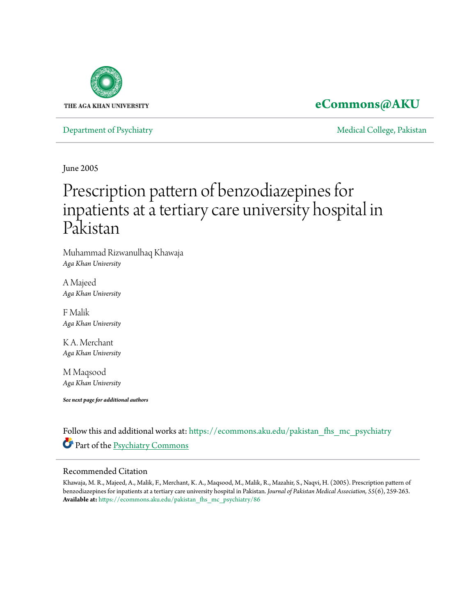

## **[eCommons@AKU](https://ecommons.aku.edu?utm_source=ecommons.aku.edu%2Fpakistan_fhs_mc_psychiatry%2F86&utm_medium=PDF&utm_campaign=PDFCoverPages)**

[Department of Psychiatry](https://ecommons.aku.edu/pakistan_fhs_mc_psychiatry?utm_source=ecommons.aku.edu%2Fpakistan_fhs_mc_psychiatry%2F86&utm_medium=PDF&utm_campaign=PDFCoverPages) and the College, Pakistan [Medical College, Pakistan](https://ecommons.aku.edu/pakistan_fhs_mc?utm_source=ecommons.aku.edu%2Fpakistan_fhs_mc_psychiatry%2F86&utm_medium=PDF&utm_campaign=PDFCoverPages) Medical College, Pakistan Medical College, Pakistan Medical College, Pakistan Medical College, Pakistan Medical College, Pakistan Medical College

June 2005

# Prescription pattern of benzodiazepines for inpatients at a tertiary care university hospital in Pakistan

Muhammad Rizwanulhaq Khawaja *Aga Khan University*

A Majeed *Aga Khan University*

F Malik *Aga Khan University*

K A. Merchant *Aga Khan University*

M Maqsood *Aga Khan University*

*See next page for additional authors*

Follow this and additional works at: [https://ecommons.aku.edu/pakistan\\_fhs\\_mc\\_psychiatry](https://ecommons.aku.edu/pakistan_fhs_mc_psychiatry?utm_source=ecommons.aku.edu%2Fpakistan_fhs_mc_psychiatry%2F86&utm_medium=PDF&utm_campaign=PDFCoverPages) Part of the [Psychiatry Commons](http://network.bepress.com/hgg/discipline/704?utm_source=ecommons.aku.edu%2Fpakistan_fhs_mc_psychiatry%2F86&utm_medium=PDF&utm_campaign=PDFCoverPages)

#### Recommended Citation

Khawaja, M. R., Majeed, A., Malik, F., Merchant, K. A., Maqsood, M., Malik, R., Mazahir, S., Naqvi, H. (2005). Prescription pattern of benzodiazepines for inpatients at a tertiary care university hospital in Pakistan. *Journal of Pakistan Medical Association, 55*(6), 259-263. **Available at:** [https://ecommons.aku.edu/pakistan\\_fhs\\_mc\\_psychiatry/86](https://ecommons.aku.edu/pakistan_fhs_mc_psychiatry/86)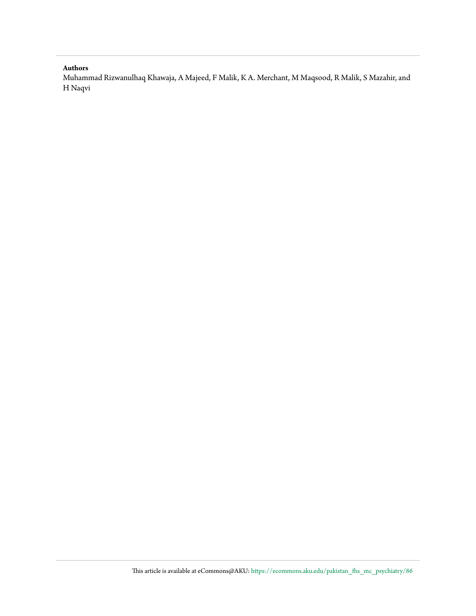#### **Authors**

Muhammad Rizwanulhaq Khawaja, A Majeed, F Malik, K A. Merchant, M Maqsood, R Malik, S Mazahir, and H Naqvi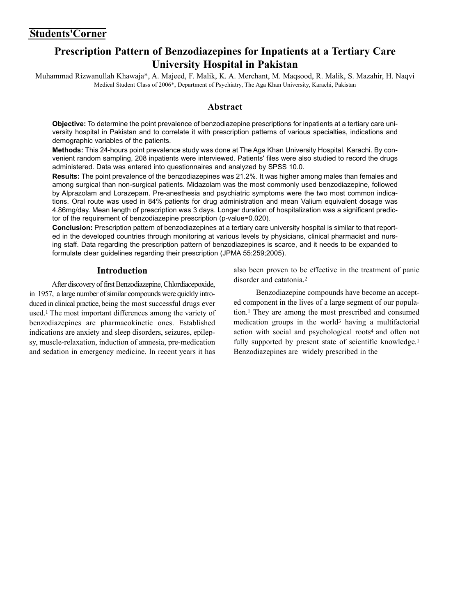### **Prescription Pattern of Benzodiazepines for Inpatients at a Tertiary Care University Hospital in Pakistan**

Muhammad Rizwanullah Khawaja\*, A. Majeed, F. Malik, K. A. Merchant, M. Maqsood, R. Malik, S. Mazahir, H. Naqvi Medical Student Class of 2006\*, Department of Psychiatry, The Aga Khan University, Karachi, Pakistan

#### **Abstract**

**Objective:** To determine the point prevalence of benzodiazepine prescriptions for inpatients at a tertiary care university hospital in Pakistan and to correlate it with prescription patterns of various specialties, indications and demographic variables of the patients.

**Methods:** This 24-hours point prevalence study was done at The Aga Khan University Hospital, Karachi. By convenient random sampling, 208 inpatients were interviewed. Patients' files were also studied to record the drugs administered. Data was entered into questionnaires and analyzed by SPSS 10.0.

**Results:** The point prevalence of the benzodiazepines was 21.2%. It was higher among males than females and among surgical than non-surgical patients. Midazolam was the most commonly used benzodiazepine, followed by Alprazolam and Lorazepam. Pre-anesthesia and psychiatric symptoms were the two most common indications. Oral route was used in 84% patients for drug administration and mean Valium equivalent dosage was 4.86mg/day. Mean length of prescription was 3 days. Longer duration of hospitalization was a significant predictor of the requirement of benzodiazepine prescription (p-value=0.020).

**Conclusion:** Prescription pattern of benzodiazepines at a tertiary care university hospital is similar to that reported in the developed countries through monitoring at various levels by physicians, clinical pharmacist and nursing staff. Data regarding the prescription pattern of benzodiazepines is scarce, and it needs to be expanded to formulate clear guidelines regarding their prescription (JPMA 55:259;2005).

#### **Introduction**

After discovery of first Benzodiazepine, Chlordiacepoxide, in 1957, a large number of similar compounds were quickly introduced in clinical practice, being the most successful drugs ever used.1 The most important differences among the variety of benzodiazepines are pharmacokinetic ones. Established indications are anxiety and sleep disorders, seizures, epilepsy, muscle-relaxation, induction of amnesia, pre-medication and sedation in emergency medicine. In recent years it has

also been proven to be effective in the treatment of panic disorder and catatonia<sup>2</sup>

Benzodiazepine compounds have become an accepted component in the lives of a large segment of our population.1 They are among the most prescribed and consumed medication groups in the world3 having a multifactorial action with social and psychological roots4 and often not fully supported by present state of scientific knowledge.<sup>1</sup> Benzodiazepines are widely prescribed in the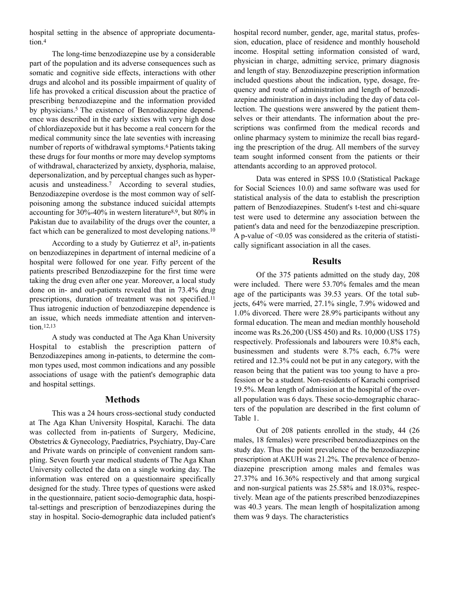hospital setting in the absence of appropriate documentation.4

The long-time benzodiazepine use by a considerable part of the population and its adverse consequences such as somatic and cognitive side effects, interactions with other drugs and alcohol and its possible impairment of quality of life has provoked a critical discussion about the practice of prescribing benzodiazepine and the information provided by physicians.5 The existence of Benzodiazepine dependence was described in the early sixties with very high dose of chlordiazepoxide but it has become a real concern for the medical community since the late seventies with increasing number of reports of withdrawal symptoms.6 Patients taking these drugs for four months or more may develop symptoms of withdrawal, characterized by anxiety, dysphoria, malaise, depersonalization, and by perceptual changes such as hyperacusis and unsteadiness.7 According to several studies, Benzodiazepine overdose is the most common way of selfpoisoning among the substance induced suicidal attempts accounting for 30%-40% in western literature8,9, but 80% in Pakistan due to availability of the drugs over the counter, a fact which can be generalized to most developing nations.10

According to a study by Gutierrez et al<sup>5</sup>, in-patients on benzodiazepines in department of internal medicine of a hospital were followed for one year. Fifty percent of the patients prescribed Benzodiazepine for the first time were taking the drug even after one year. Moreover, a local study done on in- and out-patients revealed that in 73.4% drug prescriptions, duration of treatment was not specified.11 Thus iatrogenic induction of benzodiazepine dependence is an issue, which needs immediate attention and intervention.12,13

A study was conducted at The Aga Khan University Hospital to establish the prescription pattern of Benzodiazepines among in-patients, to determine the common types used, most common indications and any possible associations of usage with the patient's demographic data and hospital settings.

#### **Methods**

This was a 24 hours cross-sectional study conducted at The Aga Khan University Hospital, Karachi. The data was collected from in-patients of Surgery, Medicine, Obstetrics & Gynecology, Paediatrics, Psychiatry, Day-Care and Private wards on principle of convenient random sampling. Seven fourth year medical students of The Aga Khan University collected the data on a single working day. The information was entered on a questionnaire specifically designed for the study. Three types of questions were asked in the questionnaire, patient socio-demographic data, hospital-settings and prescription of benzodiazepines during the stay in hospital. Socio-demographic data included patient's hospital record number, gender, age, marital status, profession, education, place of residence and monthly household income. Hospital setting information consisted of ward, physician in charge, admitting service, primary diagnosis and length of stay. Benzodiazepine prescription information included questions about the indication, type, dosage, frequency and route of administration and length of benzodiazepine administration in days including the day of data collection. The questions were answered by the patient themselves or their attendants. The information about the prescriptions was confirmed from the medical records and online pharmacy system to minimize the recall bias regarding the prescription of the drug. All members of the survey team sought informed consent from the patients or their attendants according to an approved protocol.

Data was entered in SPSS 10.0 (Statistical Package for Social Sciences 10.0) and same software was used for statistical analysis of the data to establish the prescription pattern of Benzodiazepines. Student's t-test and chi-square test were used to determine any association between the patient's data and need for the benzodiazepine prescription. A p-value of  $\leq 0.05$  was considered as the criteria of statistically significant association in all the cases.

#### **Results**

Of the 375 patients admitted on the study day, 208 were included. There were 53.70% females amd the mean age of the participants was 39.53 years. Of the total subjects, 64% were married, 27.1% single, 7.9% widowed and 1.0% divorced. There were 28.9% participants without any formal education. The mean and median monthly household income was Rs.26,200 (US\$ 450) and Rs. 10,000 (US\$ 175) respectively. Professionals and labourers were 10.8% each, businessmen and students were 8.7% each, 6.7% were retired and 12.3% could not be put in any category, with the reason being that the patient was too young to have a profession or be a student. Non-residents of Karachi comprised 19.5%. Mean length of admission at the hospital of the overall population was 6 days. These socio-demographic characters of the population are described in the first column of Table 1.

Out of 208 patients enrolled in the study, 44 (26 males, 18 females) were prescribed benzodiazepines on the study day. Thus the point prevalence of the benzodiazepine prescription at AKUH was 21.2%. The prevalence of benzodiazepine prescription among males and females was 27.37% and 16.36% respectively and that among surgical and non-surgical patients was 25.58% and 18.03%, respectively. Mean age of the patients prescribed benzodiazepines was 40.3 years. The mean length of hospitalization among them was 9 days. The characteristics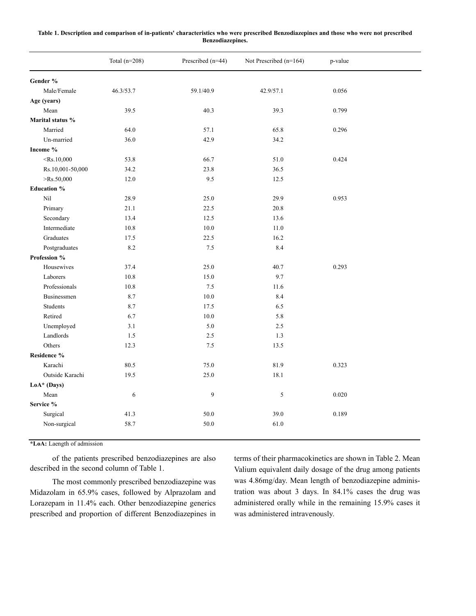#### **Table 1. Description and comparison of in-patients' characteristics who were prescribed Benzodiazepines and those who were not prescribed Benzodiazepines.**

|                    | Total $(n=208)$ | Prescribed (n=44) | Not Prescribed (n=164) | p-value |  |
|--------------------|-----------------|-------------------|------------------------|---------|--|
| Gender %           |                 |                   |                        |         |  |
| Male/Female        | 46.3/53.7       | 59.1/40.9         | 42.9/57.1              | 0.056   |  |
| Age (years)        |                 |                   |                        |         |  |
| Mean               | 39.5            | 40.3              | 39.3                   | 0.799   |  |
| Marital status %   |                 |                   |                        |         |  |
| Married            | 64.0            | 57.1              | 65.8                   | 0.296   |  |
| Un-married         | 36.0            | 42.9              | 34.2                   |         |  |
| Income %           |                 |                   |                        |         |  |
| $\le$ Rs.10,000    | 53.8            | 66.7              | 51.0                   | 0.424   |  |
| Rs.10,001-50,000   | 34.2            | 23.8              | 36.5                   |         |  |
| $>$ Rs.50,000      | 12.0            | 9.5               | 12.5                   |         |  |
| <b>Education %</b> |                 |                   |                        |         |  |
| Nil                | 28.9            | 25.0              | 29.9                   | 0.953   |  |
| Primary            | 21.1            | 22.5              | 20.8                   |         |  |
| Secondary          | 13.4            | 12.5              | 13.6                   |         |  |
| Intermediate       | 10.8            | 10.0              | 11.0                   |         |  |
| Graduates          | 17.5            | 22.5              | 16.2                   |         |  |
| Postgraduates      | 8.2             | 7.5               | 8.4                    |         |  |
| Profession %       |                 |                   |                        |         |  |
| Housewives         | 37.4            | 25.0              | 40.7                   | 0.293   |  |
| Laborers           | 10.8            | 15.0              | 9.7                    |         |  |
| Professionals      | 10.8            | 7.5               | 11.6                   |         |  |
| Businessmen        | 8.7             | 10.0              | 8.4                    |         |  |
| Students           | 8.7             | 17.5              | 6.5                    |         |  |
| Retired            | 6.7             | 10.0              | 5.8                    |         |  |
| Unemployed         | 3.1             | 5.0               | 2.5                    |         |  |
| Landlords          | 1.5             | 2.5               | 1.3                    |         |  |
| Others             | 12.3            | 7.5               | 13.5                   |         |  |
| Residence %        |                 |                   |                        |         |  |
| Karachi            | 80.5            | 75.0              | 81.9                   | 0.323   |  |
| Outside Karachi    | 19.5            | 25.0              | 18.1                   |         |  |
| LoA* (Days)        |                 |                   |                        |         |  |
| Mean               | 6               | 9                 | 5                      | 0.020   |  |
| Service %          |                 |                   |                        |         |  |
| Surgical           | 41.3            | 50.0              | 39.0                   | 0.189   |  |
| Non-surgical       | 58.7            | 50.0              | 61.0                   |         |  |

**\*LoA:** Laength of admission

of the patients prescribed benzodiazepines are also described in the second column of Table 1.

The most commonly prescribed benzodiazepine was Midazolam in 65.9% cases, followed by Alprazolam and Lorazepam in 11.4% each. Other benzodiazepine generics prescribed and proportion of different Benzodiazepines in terms of their pharmacokinetics are shown in Table 2. Mean Valium equivalent daily dosage of the drug among patients was 4.86mg/day. Mean length of benzodiazepine administration was about 3 days. In 84.1% cases the drug was administered orally while in the remaining 15.9% cases it was administered intravenously.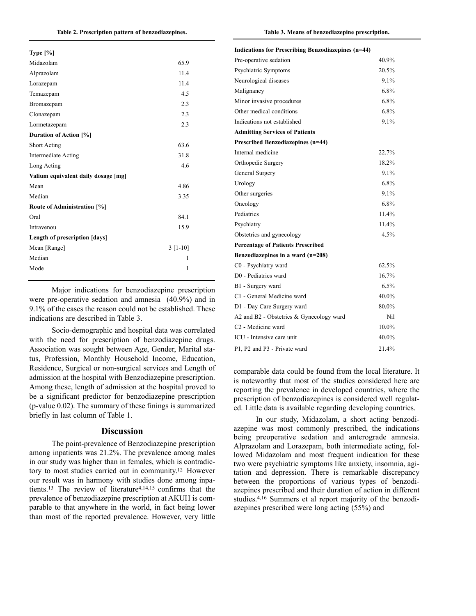| Type $[\%]$                         |            |  |
|-------------------------------------|------------|--|
| Midazolam                           | 65.9       |  |
| Alprazolam                          | 11.4       |  |
| Lorazepam                           | 11.4       |  |
| Temazepam                           | 4.5        |  |
| Bromazepam                          | 2.3        |  |
| Clonazepam                          | 2.3        |  |
| Lormetazepam                        | 2.3        |  |
| Duration of Action [%]              |            |  |
| <b>Short Acting</b>                 | 63.6       |  |
| <b>Intermediate Acting</b>          | 31.8       |  |
| Long Acting                         | 4.6        |  |
| Valium equivalent daily dosage [mg] |            |  |
| Mean                                | 4.86       |  |
| Median                              | 3.35       |  |
| <b>Route of Administration [%]</b>  |            |  |
| Oral                                | 84.1       |  |
| Intravenou                          | 15.9       |  |
| Length of prescription [days]       |            |  |
| Mean [Range]                        | $3 [1-10]$ |  |
| Median                              | 1          |  |
| Mode                                | 1          |  |
|                                     |            |  |

Major indications for benzodiazepine prescription were pre-operative sedation and amnesia (40.9%) and in 9.1% of the cases the reason could not be established. These indications are described in Table 3.

Socio-demographic and hospital data was correlated with the need for prescription of benzodiazepine drugs. Association was sought between Age, Gender, Marital status, Profession, Monthly Household Income, Education, Residence, Surgical or non-surgical services and Length of admission at the hospital with Benzodiazepine prescription. Among these, length of admission at the hospital proved to be a significant predictor for benzodiazepine prescription (p-value 0.02). The summary of these finings is summarized briefly in last column of Table 1.

#### **Discussion**

The point-prevalence of Benzodiazepine prescription among inpatients was 21.2%. The prevalence among males in our study was higher than in females, which is contradictory to most studies carried out in community.12 However our result was in harmony with studies done among inpatients.13 The review of literature4,14,15 confirms that the prevalence of benzodiazepine prescription at AKUH is comparable to that anywhere in the world, in fact being lower than most of the reported prevalence. However, very little

| Indications for Prescribing Benzodiazepines (n=44) |       |
|----------------------------------------------------|-------|
| Pre-operative sedation                             | 40.9% |
| Psychiatric Symptoms                               | 20.5% |
| Neurological diseases                              | 9.1%  |
| Malignancy                                         | 6.8%  |
| Minor invasive procedures                          | 6.8%  |
| Other medical conditions                           | 6.8%  |
| Indications not established                        | 9.1%  |
| <b>Admitting Services of Patients</b>              |       |
| <b>Prescribed Benzodiazepines (n=44)</b>           |       |
| Internal medicine                                  | 22.7% |
| Orthopedic Surgery                                 | 18.2% |
| General Surgery                                    | 9.1%  |
| Urology                                            | 6.8%  |
| Other surgeries                                    | 9.1%  |
| Oncology                                           | 6.8%  |
| Pediatrics                                         | 11.4% |
| Psychiatry                                         | 11.4% |
| Obstetrics and gynecology                          | 4.5%  |
| <b>Percentage of Patients Prescribed</b>           |       |
| Benzodiazepines in a ward $(n=208)$                |       |
| C0 - Psychiatry ward                               | 62.5% |
| D0 - Pediatrics ward                               | 16.7% |
| B1 - Surgery ward                                  | 6.5%  |
| C1 - General Medicine ward                         | 40.0% |
| D1 - Day Care Surgery ward                         | 80.0% |
| A2 and B2 - Obstetrics & Gynecology ward           | Nil   |
| C <sub>2</sub> - Medicine ward                     | 10.0% |
| ICU - Intensive care unit                          | 40.0% |
| P1, P2 and P3 - Private ward                       | 21.4% |

comparable data could be found from the local literature. It is noteworthy that most of the studies considered here are reporting the prevalence in developed countries, where the prescription of benzodiazepines is considered well regulated. Little data is available regarding developing countries.

In our study, Midazolam, a short acting benzodiazepine was most commonly prescribed, the indications being preoperative sedation and anterograde amnesia. Alprazolam and Lorazepam, both intermediate acting, followed Midazolam and most frequent indication for these two were psychiatric symptoms like anxiety, insomnia, agitation and depression. There is remarkable discrepancy between the proportions of various types of benzodiazepines prescribed and their duration of action in different studies.4,16 Summers et al report majority of the benzodiazepines prescribed were long acting (55%) and